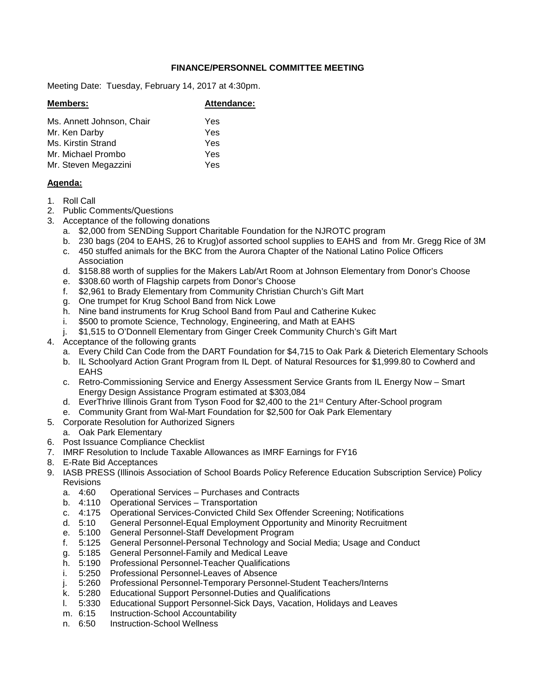## **FINANCE/PERSONNEL COMMITTEE MEETING**

Meeting Date: Tuesday, February 14, 2017 at 4:30pm.

| <b>Members:</b>           | Attendance: |
|---------------------------|-------------|
| Ms. Annett Johnson, Chair | Yes         |
| Mr. Ken Darby             | Yes         |
| Ms. Kirstin Strand        | Yes         |
| Mr. Michael Prombo        | Yes         |
| Mr. Steven Megazzini      | Yes         |
|                           |             |

## **Agenda:**

- 1. Roll Call
- 2. Public Comments/Questions
- 3. Acceptance of the following donations
	- a. \$2,000 from SENDing Support Charitable Foundation for the NJROTC program
	- b. 230 bags (204 to EAHS, 26 to Krug)of assorted school supplies to EAHS and from Mr. Gregg Rice of 3M
	- c. 450 stuffed animals for the BKC from the Aurora Chapter of the National Latino Police Officers Association
	- d. \$158.88 worth of supplies for the Makers Lab/Art Room at Johnson Elementary from Donor's Choose
	- e. \$308.60 worth of Flagship carpets from Donor's Choose
	- f. \$2,961 to Brady Elementary from Community Christian Church's Gift Mart
	- g. One trumpet for Krug School Band from Nick Lowe
	- h. Nine band instruments for Krug School Band from Paul and Catherine Kukec
	- i. \$500 to promote Science, Technology, Engineering, and Math at EAHS
	- j. \$1,515 to O'Donnell Elementary from Ginger Creek Community Church's Gift Mart
- 4. Acceptance of the following grants
	- a. Every Child Can Code from the DART Foundation for \$4,715 to Oak Park & Dieterich Elementary Schools
	- b. IL Schoolyard Action Grant Program from IL Dept. of Natural Resources for \$1,999.80 to Cowherd and EAHS
	- c. Retro-Commissioning Service and Energy Assessment Service Grants from IL Energy Now Smart Energy Design Assistance Program estimated at \$303,084
	- d. EverThrive Illinois Grant from Tyson Food for \$2,400 to the 21st Century After-School program
	- e. Community Grant from Wal-Mart Foundation for \$2,500 for Oak Park Elementary
- 5. Corporate Resolution for Authorized Signers

#### a. Oak Park Elementary

- 6. Post Issuance Compliance Checklist
- 7. IMRF Resolution to Include Taxable Allowances as IMRF Earnings for FY16
- 8. E-Rate Bid Acceptances
- 9. IASB PRESS (Illinois Association of School Boards Policy Reference Education Subscription Service) Policy Revisions<br>a. 4:60
	- Operational Services Purchases and Contracts
	- b. 4:110 Operational Services Transportation
	- c. 4:175 Operational Services-Convicted Child Sex Offender Screening; Notifications
	- d. 5:10 General Personnel-Equal Employment Opportunity and Minority Recruitment
	- e. 5:100 General Personnel-Staff Development Program
	- f. 5:125 General Personnel-Personal Technology and Social Media; Usage and Conduct
	- g. 5:185 General Personnel-Family and Medical Leave
	- h. 5:190 Professional Personnel-Teacher Qualifications
	- i. 5:250 Professional Personnel-Leaves of Absence
	- j. 5:260 Professional Personnel-Temporary Personnel-Student Teachers/Interns
	- k. 5:280 Educational Support Personnel-Duties and Qualifications
	- l. 5:330 Educational Support Personnel-Sick Days, Vacation, Holidays and Leaves<br>m 6:15 Instruction-School Accountability
	- Instruction-School Accountability
	- n. 6:50 Instruction-School Wellness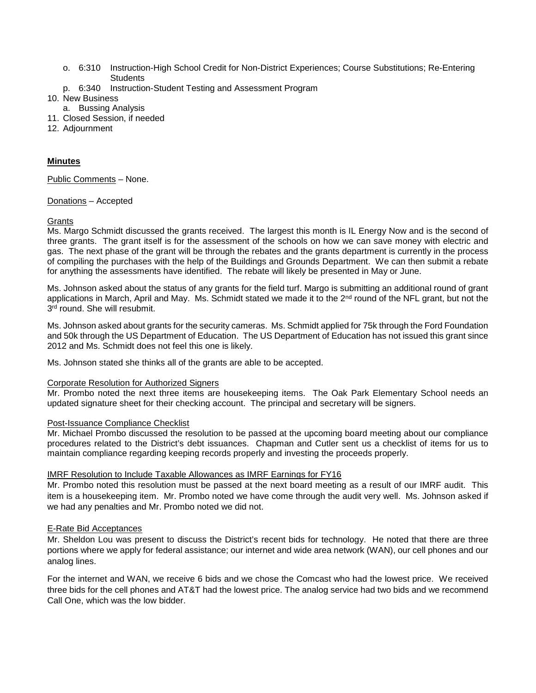- o. 6:310 Instruction-High School Credit for Non-District Experiences; Course Substitutions; Re-Entering **Students**
- p. 6:340 Instruction-Student Testing and Assessment Program
- 10. New Business
	- a. Bussing Analysis
- 11. Closed Session, if needed
- 12. Adjournment

# **Minutes**

Public Comments – None.

### Donations – Accepted

### **Grants**

Ms. Margo Schmidt discussed the grants received. The largest this month is IL Energy Now and is the second of three grants. The grant itself is for the assessment of the schools on how we can save money with electric and gas. The next phase of the grant will be through the rebates and the grants department is currently in the process of compiling the purchases with the help of the Buildings and Grounds Department. We can then submit a rebate for anything the assessments have identified. The rebate will likely be presented in May or June.

Ms. Johnson asked about the status of any grants for the field turf. Margo is submitting an additional round of grant applications in March, April and May. Ms. Schmidt stated we made it to the 2<sup>nd</sup> round of the NFL grant, but not the  $3<sup>rd</sup>$  round. She will resubmit.

Ms. Johnson asked about grants for the security cameras. Ms. Schmidt applied for 75k through the Ford Foundation and 50k through the US Department of Education. The US Department of Education has not issued this grant since 2012 and Ms. Schmidt does not feel this one is likely.

Ms. Johnson stated she thinks all of the grants are able to be accepted.

#### Corporate Resolution for Authorized Signers

Mr. Prombo noted the next three items are housekeeping items. The Oak Park Elementary School needs an updated signature sheet for their checking account. The principal and secretary will be signers.

#### Post-Issuance Compliance Checklist

Mr. Michael Prombo discussed the resolution to be passed at the upcoming board meeting about our compliance procedures related to the District's debt issuances. Chapman and Cutler sent us a checklist of items for us to maintain compliance regarding keeping records properly and investing the proceeds properly.

## IMRF Resolution to Include Taxable Allowances as IMRF Earnings for FY16

Mr. Prombo noted this resolution must be passed at the next board meeting as a result of our IMRF audit. This item is a housekeeping item. Mr. Prombo noted we have come through the audit very well. Ms. Johnson asked if we had any penalties and Mr. Prombo noted we did not.

## E-Rate Bid Acceptances

Mr. Sheldon Lou was present to discuss the District's recent bids for technology. He noted that there are three portions where we apply for federal assistance; our internet and wide area network (WAN), our cell phones and our analog lines.

For the internet and WAN, we receive 6 bids and we chose the Comcast who had the lowest price. We received three bids for the cell phones and AT&T had the lowest price. The analog service had two bids and we recommend Call One, which was the low bidder.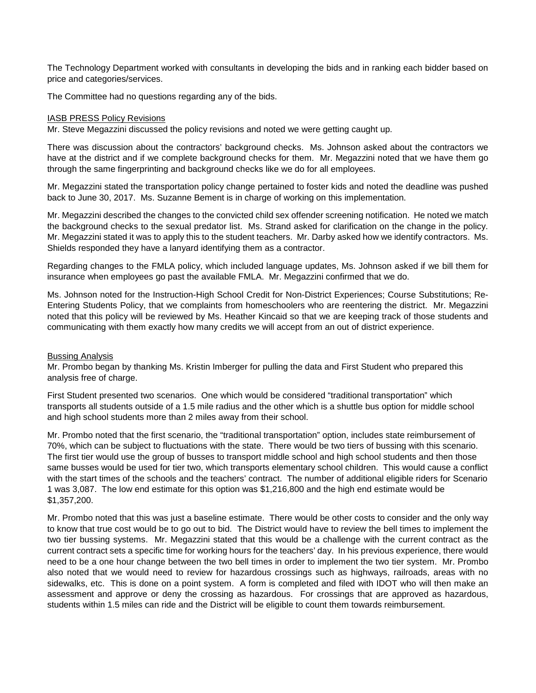The Technology Department worked with consultants in developing the bids and in ranking each bidder based on price and categories/services.

The Committee had no questions regarding any of the bids.

### IASB PRESS Policy Revisions

Mr. Steve Megazzini discussed the policy revisions and noted we were getting caught up.

There was discussion about the contractors' background checks. Ms. Johnson asked about the contractors we have at the district and if we complete background checks for them. Mr. Megazzini noted that we have them go through the same fingerprinting and background checks like we do for all employees.

Mr. Megazzini stated the transportation policy change pertained to foster kids and noted the deadline was pushed back to June 30, 2017. Ms. Suzanne Bement is in charge of working on this implementation.

Mr. Megazzini described the changes to the convicted child sex offender screening notification. He noted we match the background checks to the sexual predator list. Ms. Strand asked for clarification on the change in the policy. Mr. Megazzini stated it was to apply this to the student teachers. Mr. Darby asked how we identify contractors. Ms. Shields responded they have a lanyard identifying them as a contractor.

Regarding changes to the FMLA policy, which included language updates, Ms. Johnson asked if we bill them for insurance when employees go past the available FMLA. Mr. Megazzini confirmed that we do.

Ms. Johnson noted for the Instruction-High School Credit for Non-District Experiences; Course Substitutions; Re-Entering Students Policy, that we complaints from homeschoolers who are reentering the district. Mr. Megazzini noted that this policy will be reviewed by Ms. Heather Kincaid so that we are keeping track of those students and communicating with them exactly how many credits we will accept from an out of district experience.

#### Bussing Analysis

Mr. Prombo began by thanking Ms. Kristin Imberger for pulling the data and First Student who prepared this analysis free of charge.

First Student presented two scenarios. One which would be considered "traditional transportation" which transports all students outside of a 1.5 mile radius and the other which is a shuttle bus option for middle school and high school students more than 2 miles away from their school.

Mr. Prombo noted that the first scenario, the "traditional transportation" option, includes state reimbursement of 70%, which can be subject to fluctuations with the state. There would be two tiers of bussing with this scenario. The first tier would use the group of busses to transport middle school and high school students and then those same busses would be used for tier two, which transports elementary school children. This would cause a conflict with the start times of the schools and the teachers' contract. The number of additional eligible riders for Scenario 1 was 3,087. The low end estimate for this option was \$1,216,800 and the high end estimate would be \$1,357,200.

Mr. Prombo noted that this was just a baseline estimate. There would be other costs to consider and the only way to know that true cost would be to go out to bid. The District would have to review the bell times to implement the two tier bussing systems. Mr. Megazzini stated that this would be a challenge with the current contract as the current contract sets a specific time for working hours for the teachers' day. In his previous experience, there would need to be a one hour change between the two bell times in order to implement the two tier system. Mr. Prombo also noted that we would need to review for hazardous crossings such as highways, railroads, areas with no sidewalks, etc. This is done on a point system. A form is completed and filed with IDOT who will then make an assessment and approve or deny the crossing as hazardous. For crossings that are approved as hazardous, students within 1.5 miles can ride and the District will be eligible to count them towards reimbursement.